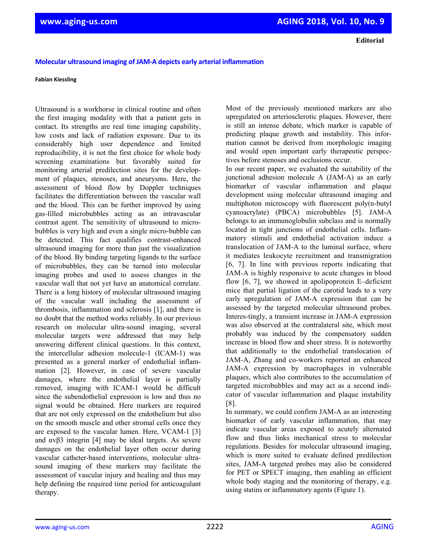**Editorial**

## **Molecular ultrasound imaging of JAM‐A depicts early arterial inflammation**

## **Fabian Kiessling**

Ultrasound is a workhorse in clinical routine and often the first imaging modality with that a patient gets in contact. Its strengths are real time imaging capability, low costs and lack of radiation exposure. Due to its considerably high user dependence and limited reproducibility, it is not the first choice for whole body screening examinations but favorably suited for monitoring arterial predilection sites for the development of plaques, stenoses, and aneurysms. Here, the assessment of blood flow by Doppler techniques facilitates the differentiation between the vascular wall and the blood. This can be further improved by using gas-filled microbubbles acting as an intravascular contrast agent. The sensitivity of ultrasound to microbubbles is very high and even a single micro-bubble can be detected. This fact qualifies contrast-enhanced ultrasound imaging for more than just the visualization of the blood. By binding targeting ligands to the surface of microbubbles, they can be turned into molecular imaging probes and used to assess changes in the vascular wall that not yet have an anatomical correlate. There is a long history of molecular ultrasound imaging of the vascular wall including the assessment of thrombosis, inflammation and sclerosis [1], and there is no doubt that the method works reliably. In our previous research on molecular ultra-sound imaging, several molecular targets were addressed that may help answering different clinical questions. In this context, the intercellular adhesion molecule-1 (ICAM-1) was presented as a general marker of endothelial inflammation [2]. However, in case of severe vascular damages, where the endothelial layer is partially removed, imaging with ICAM-1 would be difficult since the subendothelial expression is low and thus no signal would be obtained. Here markers are required that are not only expressed on the endothelium but also on the smooth muscle and other stromal cells once they are exposed to the vascular lumen. Here, VCAM-1 [3] and  $\alpha \beta$ 3 integrin [4] may be ideal targets. As severe damages on the endothelial layer often occur during vascular catheter-based interventions, molecular ultrasound imaging of these markers may facilitate the assessment of vascular injury and healing and thus may help defining the required time period for anticoagulant therapy.

Most of the previously mentioned markers are also upregulated on arteriosclerotic plaques. However, there is still an intense debate, which marker is capable of predicting plaque growth and instability. This information cannot be derived from morphologic imaging and would open important early therapeutic perspectives before stenoses and occlusions occur.

In our recent paper, we evaluated the suitability of the junctional adhesion molecule A (JAM-A) as an early biomarker of vascular inflammation and plaque development using molecular ultrasound imaging and multiphoton microscopy with fluorescent poly(n-butyl cyanoacrylate) (PBCA) microbubbles [5]. JAM-A belongs to an immunoglobulin subclass and is normally located in tight junctions of endothelial cells. Inflammatory stimuli and endothelial activation induce a translocation of JAM-A to the luminal surface, where it mediates leukocyte recruitment and transmigration [6, 7]. In line with previous reports indicating that JAM-A is highly responsive to acute changes in blood flow [6, 7], we showed in apolipoprotein E–deficient mice that partial ligation of the carotid leads to a very early upregulation of JAM-A expression that can be assessed by the targeted molecular ultrasound probes. Interes-tingly, a transient increase in JAM-A expression was also observed at the contralateral site, which most probably was induced by the compensatory sudden increase in blood flow and sheer stress. It is noteworthy that additionally to the endothelial translocation of JAM-A, Zhang and co-workers reported an enhanced JAM-A expression by macrophages in vulnerable plaques, which also contributes to the accumulation of targeted microbubbles and may act as a second indicator of vascular inflammation and plaque instability [8].

In summary, we could confirm JAM-A as an interesting biomarker of early vascular inflammation, that may indicate vascular areas exposed to acutely alternated flow and thus links mechanical stress to molecular regulations. Besides for molecular ultrasound imaging, which is more suited to evaluate defined predilection sites, JAM-A targeted probes may also be considered for PET or SPECT imaging, then enabling an efficient whole body staging and the monitoring of therapy, e.g. using statins or inflammatory agents (Figure 1).